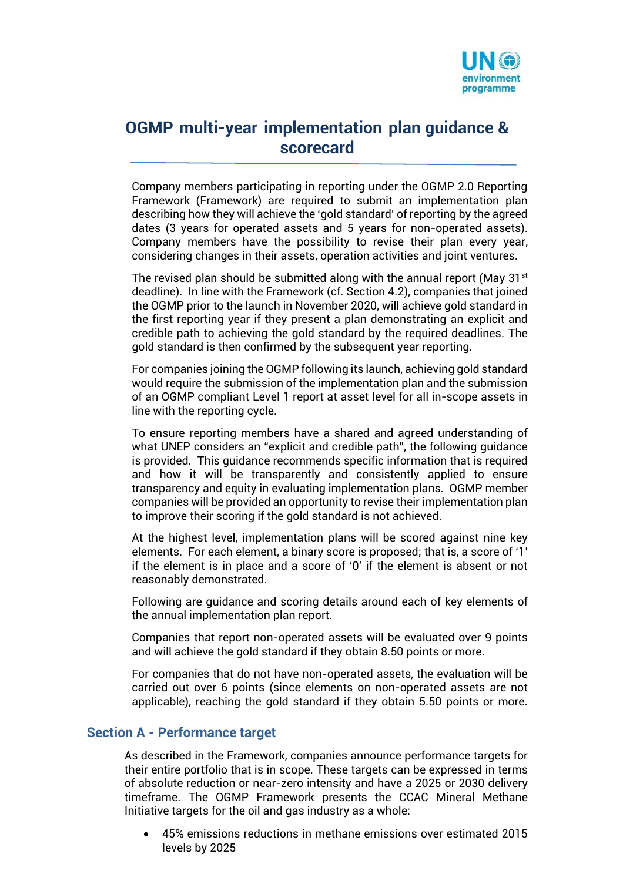

# **OGMP multi-year implementation plan guidance & scorecard**

Company members participating in reporting under the OGMP 2.0 Reporting Framework (Framework) are required to submit an implementation plan describing how they will achieve the 'gold standard' of reporting by the agreed dates (3 years for operated assets and 5 years for non-operated assets). Company members have the possibility to revise their plan every year, considering changes in their assets, operation activities and joint ventures.

The revised plan should be submitted along with the annual report (May 31 $\mathrm{^{st}}$ ) deadline). In line with the Framework (cf. Section 4.2), companies that joined the OGMP prior to the launch in November 2020, will achieve gold standard in the first reporting year if they present a plan demonstrating an explicit and credible path to achieving the gold standard by the required deadlines. The gold standard is then confirmed by the subsequent year reporting.

For companies joining the OGMP following its launch, achieving gold standard would require the submission of the implementation plan and the submission of an OGMP compliant Level 1 report at asset level for all in-scope assets in line with the reporting cycle.

To ensure reporting members have a shared and agreed understanding of what UNEP considers an "explicit and credible path", the following guidance is provided. This guidance recommends specific information that is required and how it will be transparently and consistently applied to ensure transparency and equity in evaluating implementation plans. OGMP member companies will be provided an opportunity to revise their implementation plan to improve their scoring if the gold standard is not achieved.

At the highest level, implementation plans will be scored against nine key elements. For each element, a binary score is proposed; that is, a score of '1' if the element is in place and a score of '0' if the element is absent or not reasonably demonstrated.

Following are guidance and scoring details around each of key elements of the annual implementation plan report.

Companies that report non-operated assets will be evaluated over 9 points and will achieve the gold standard if they obtain 8.50 points or more.

For companies that do not have non-operated assets, the evaluation will be carried out over 6 points (since elements on non-operated assets are not applicable), reaching the gold standard if they obtain 5.50 points or more.

### **Section A - Performance target**

As described in the Framework, companies announce performance targets for their entire portfolio that is in scope. These targets can be expressed in terms of absolute reduction or near-zero intensity and have a 2025 or 2030 delivery timeframe. The OGMP Framework presents the CCAC Mineral Methane Initiative targets for the oil and gas industry as a whole:

• 45% emissions reductions in methane emissions over estimated 2015 levels by 2025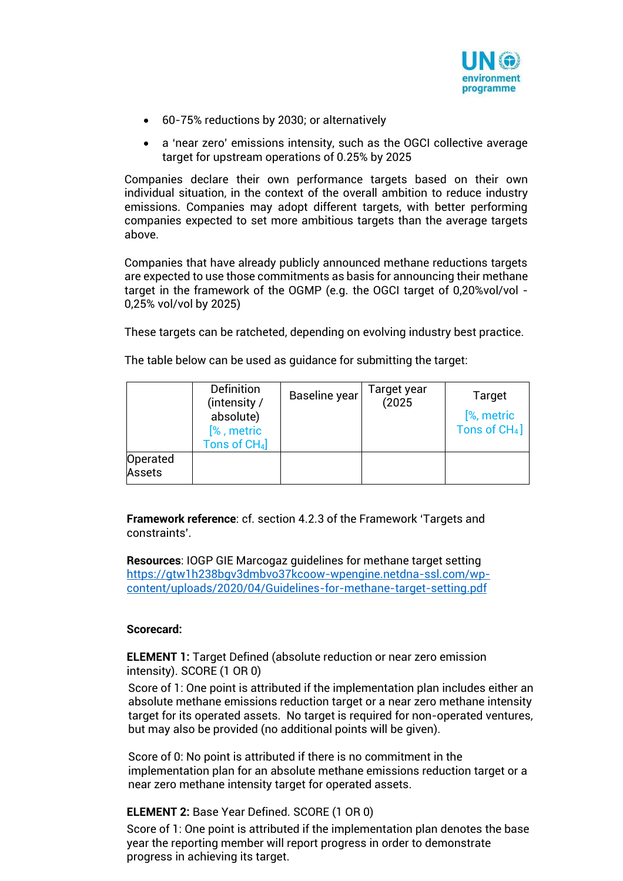

- 60-75% reductions by 2030; or alternatively
- a 'near zero' emissions intensity, such as the OGCI collective average target for upstream operations of 0.25% by 2025

Companies declare their own performance targets based on their own individual situation, in the context of the overall ambition to reduce industry emissions. Companies may adopt different targets, with better performing companies expected to set more ambitious targets than the average targets above.

Companies that have already publicly announced methane reductions targets are expected to use those commitments as basis for announcing their methane target in the framework of the OGMP (e.g. the OGCI target of 0,20%vol/vol - 0,25% vol/vol by 2025)

These targets can be ratcheted, depending on evolving industry best practice.

|                    | <b>Definition</b><br>(intensity /<br>absolute)<br>[%, metric<br>Tons of CH4] | Baseline year | Target year<br>(2025) | <b>Target</b><br>[%, metric<br>Tons of CH <sub>4</sub> ] |
|--------------------|------------------------------------------------------------------------------|---------------|-----------------------|----------------------------------------------------------|
| Operated<br>Assets |                                                                              |               |                       |                                                          |

The table below can be used as guidance for submitting the target:

**Framework reference**: cf. section 4.2.3 of the Framework 'Targets and constraints'.

**Resources**: IOGP GIE Marcogaz guidelines for methane target setting [https://gtw1h238bgv3dmbvo37kcoow-wpengine.netdna-ssl.com/wp](https://gtw1h238bgv3dmbvo37kcoow-wpengine.netdna-ssl.com/wp-content/uploads/2020/04/Guidelines-for-methane-target-setting.pdf)[content/uploads/2020/04/Guidelines-for-methane-target-setting.pdf](https://gtw1h238bgv3dmbvo37kcoow-wpengine.netdna-ssl.com/wp-content/uploads/2020/04/Guidelines-for-methane-target-setting.pdf)

### **Scorecard:**

**ELEMENT 1:** Target Defined (absolute reduction or near zero emission intensity). SCORE (1 OR 0)

Score of 1: One point is attributed if the implementation plan includes either an absolute methane emissions reduction target or a near zero methane intensity target for its operated assets. No target is required for non-operated ventures, but may also be provided (no additional points will be given).

Score of 0: No point is attributed if there is no commitment in the implementation plan for an absolute methane emissions reduction target or a near zero methane intensity target for operated assets.

### **ELEMENT 2:** Base Year Defined. SCORE (1 OR 0)

Score of 1: One point is attributed if the implementation plan denotes the base year the reporting member will report progress in order to demonstrate progress in achieving its target.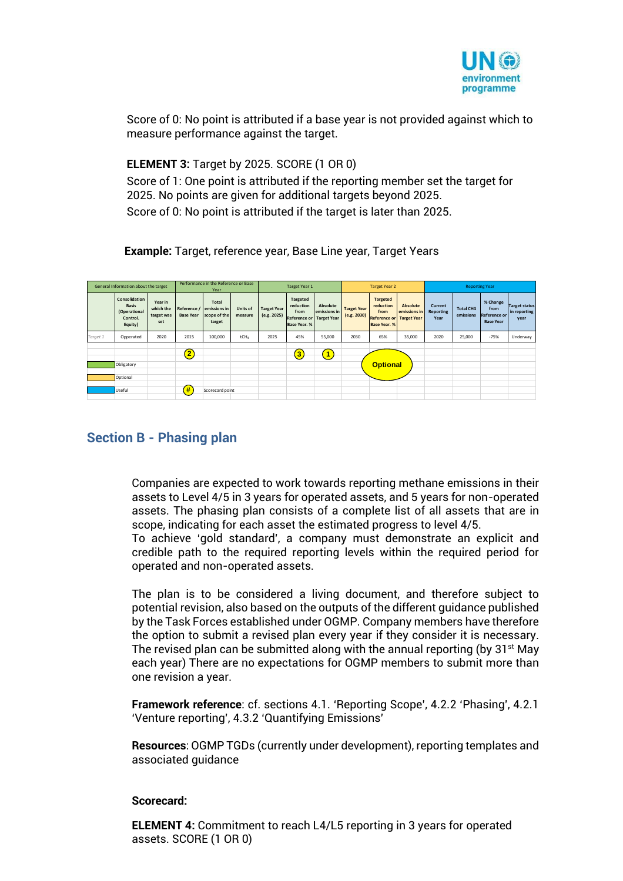

Score of 0: No point is attributed if a base year is not provided against which to measure performance against the target.

**ELEMENT 3:** Target by 2025. SCORE (1 OR 0) Score of 1: One point is attributed if the reporting member set the target for 2025. No points are given for additional targets beyond 2025. Score of 0: No point is attributed if the target is later than 2025.

**Example:** Target, reference year, Base Line year, Target Years

| General Information about the target |                                                                      |                                           | Performance in the Reference or Base<br><b>Target Year 1</b><br><b>Target Year 2</b><br>Year |                                                        |                     |                                   |                                                                                  |                          | <b>Reporting Year</b>             |                                                                                         |                                 |                                     |                               |                                                             |                                              |
|--------------------------------------|----------------------------------------------------------------------|-------------------------------------------|----------------------------------------------------------------------------------------------|--------------------------------------------------------|---------------------|-----------------------------------|----------------------------------------------------------------------------------|--------------------------|-----------------------------------|-----------------------------------------------------------------------------------------|---------------------------------|-------------------------------------|-------------------------------|-------------------------------------------------------------|----------------------------------------------|
|                                      | Consolidation<br><b>Basis</b><br>(Operational<br>Control.<br>Equity) | Year in<br>which the<br>target was<br>set | Reference /<br><b>Base Year</b>                                                              | <b>Total</b><br>emissions in<br>scope of the<br>target | Units of<br>measure | <b>Target Year</b><br>(e.g. 2025) | <b>Targeted</b><br>reduction<br>from<br>Reference or Target Year<br>Base Year, % | Absolute<br>emissions in | <b>Target Year</b><br>(e.g. 2030) | <b>Targeted</b><br>reduction<br>from<br>Reference or Target Year<br><b>Base Year, %</b> | <b>Absolute</b><br>emissions in | Current<br><b>Reporting</b><br>Year | <b>Total CH4</b><br>emissions | % Change<br>from<br><b>Reference or</b><br><b>Base Year</b> | <b>Target status</b><br>in reporting<br>year |
| Target 1                             | Opperated                                                            | 2020                                      | 2015                                                                                         | 100,000                                                | tCH <sub>a</sub>    | 2025                              | 45%                                                                              | 55,000                   | 2030                              | 65%                                                                                     | 35,000                          | 2020                                | 25,000                        | $-75%$                                                      | Underway                                     |
|                                      | Obligatory<br>Optional<br>Useful                                     |                                           | $\left  \mathbf{2}\right $<br>#                                                              | Scorecard point                                        |                     |                                   | $\overline{\mathbf{3}}$                                                          | 1                        |                                   | <b>Optional</b>                                                                         |                                 |                                     |                               |                                                             |                                              |

## **Section B - Phasing plan**

Companies are expected to work towards reporting methane emissions in their assets to Level 4/5 in 3 years for operated assets, and 5 years for non-operated assets. The phasing plan consists of a complete list of all assets that are in scope, indicating for each asset the estimated progress to level 4/5.

To achieve 'gold standard', a company must demonstrate an explicit and credible path to the required reporting levels within the required period for operated and non-operated assets.

The plan is to be considered a living document, and therefore subject to potential revision, also based on the outputs of the different guidance published by the Task Forces established under OGMP. Company members have therefore the option to submit a revised plan every year if they consider it is necessary. The revised plan can be submitted along with the annual reporting (by  $31^{st}$  May each year) There are no expectations for OGMP members to submit more than one revision a year.

**Framework reference**: cf. sections 4.1. 'Reporting Scope', 4.2.2 'Phasing', 4.2.1 'Venture reporting', 4.3.2 'Quantifying Emissions'

**Resources**: OGMP TGDs (currently under development), reporting templates and associated guidance

### **Scorecard:**

**ELEMENT 4:** Commitment to reach L4/L5 reporting in 3 years for operated assets. SCORE (1 OR 0)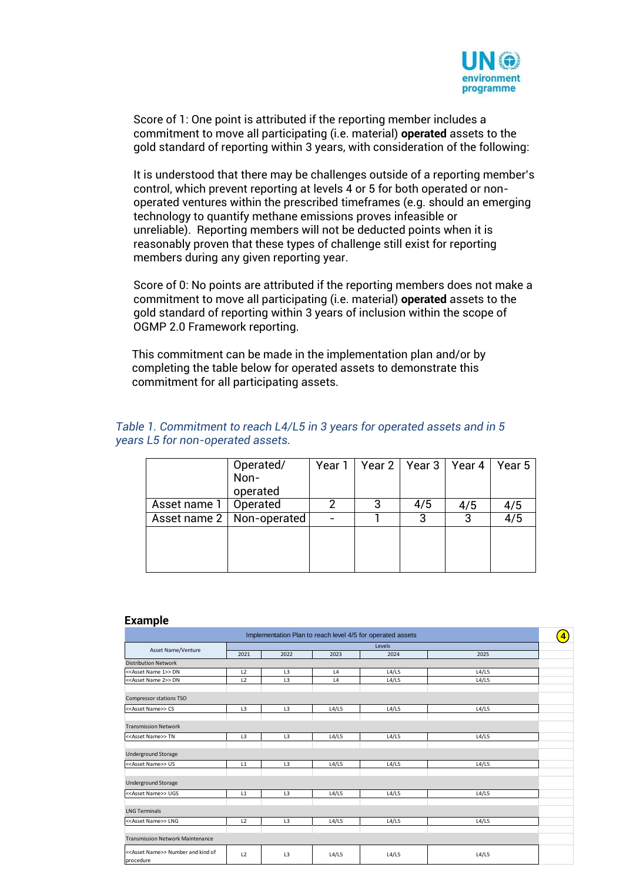

Score of 1: One point is attributed if the reporting member includes a commitment to move all participating (i.e. material) **operated** assets to the gold standard of reporting within 3 years, with consideration of the following:

It is understood that there may be challenges outside of a reporting member's control, which prevent reporting at levels 4 or 5 for both operated or nonoperated ventures within the prescribed timeframes (e.g. should an emerging technology to quantify methane emissions proves infeasible or unreliable). Reporting members will not be deducted points when it is reasonably proven that these types of challenge still exist for reporting members during any given reporting year.

Score of 0: No points are attributed if the reporting members does not make a commitment to move all participating (i.e. material) **operated** assets to the gold standard of reporting within 3 years of inclusion within the scope of OGMP 2.0 Framework reporting.

This commitment can be made in the implementation plan and/or by completing the table below for operated assets to demonstrate this commitment for all participating assets.

|              | Operated/                   | Year $1 \parallel$ | Year 2   Year 3 | Year 4 | Year 5 |
|--------------|-----------------------------|--------------------|-----------------|--------|--------|
|              | Non-                        |                    |                 |        |        |
|              | operated                    |                    |                 |        |        |
| Asset name 1 | Operated                    |                    | 4/5             | 4/5    | 4/5    |
|              | Asset name 2   Non-operated |                    |                 | 3      | 4/5    |
|              |                             |                    |                 |        |        |
|              |                             |                    |                 |        |        |
|              |                             |                    |                 |        |        |
|              |                             |                    |                 |        |        |

### *Table 1. Commitment to reach L4/L5 in 3 years for operated assets and in 5 years L5 for non-operated assets.*

#### **Example**

|                                                                |                |                |       | Implementation Plan to reach level 4/5 for operated assets |       | 4 |  |
|----------------------------------------------------------------|----------------|----------------|-------|------------------------------------------------------------|-------|---|--|
| Asset Name/Venture                                             | Levels         |                |       |                                                            |       |   |  |
|                                                                | 2021           | 2022           | 2023  | 2024                                                       | 2025  |   |  |
| <b>Distribution Network</b>                                    |                |                |       |                                                            |       |   |  |
| < <asset 1="" name="">&gt; DN</asset>                          | L <sub>2</sub> | L <sub>3</sub> | L4    | L4/L5                                                      | L4/L5 |   |  |
| < <asset 2="" name="">&gt; DN</asset>                          | L2             | L <sub>3</sub> | L4    | L4/L5                                                      | L4/L5 |   |  |
| Compressor stations TSO                                        |                |                |       |                                                            |       |   |  |
| < <asset name="">&gt; CS</asset>                               | L <sub>3</sub> | L <sub>3</sub> | L4/L5 | L4/L5                                                      | L4/L5 |   |  |
| <b>Transmission Network</b>                                    |                |                |       |                                                            |       |   |  |
| < <asset name="">&gt;TN</asset>                                | L <sub>3</sub> | L <sub>3</sub> | L4/L5 | L4/L5                                                      | L4/L5 |   |  |
| <b>Underground Storage</b>                                     |                |                |       |                                                            |       |   |  |
| < <asset name="">&gt; US</asset>                               | L1             | L <sub>3</sub> | L4/L5 | L4/L5                                                      | L4/L5 |   |  |
| <b>Underground Storage</b>                                     |                |                |       |                                                            |       |   |  |
| < <asset name="">&gt; UGS</asset>                              | L1             | L <sub>3</sub> | L4/L5 | L4/L5                                                      | L4/L5 |   |  |
| <b>LNG Terminals</b>                                           |                |                |       |                                                            |       |   |  |
| < <asset name="">&gt; LNG</asset>                              | L2             | L3             | L4/L5 | L4/L5                                                      | L4/L5 |   |  |
| <b>Transmission Network Maintenance</b>                        |                |                |       |                                                            |       |   |  |
| < <asset name="">&gt; Number and kind of<br/>procedure</asset> | L2             | L3             | L4/L5 | L4/L5                                                      | L4/L5 |   |  |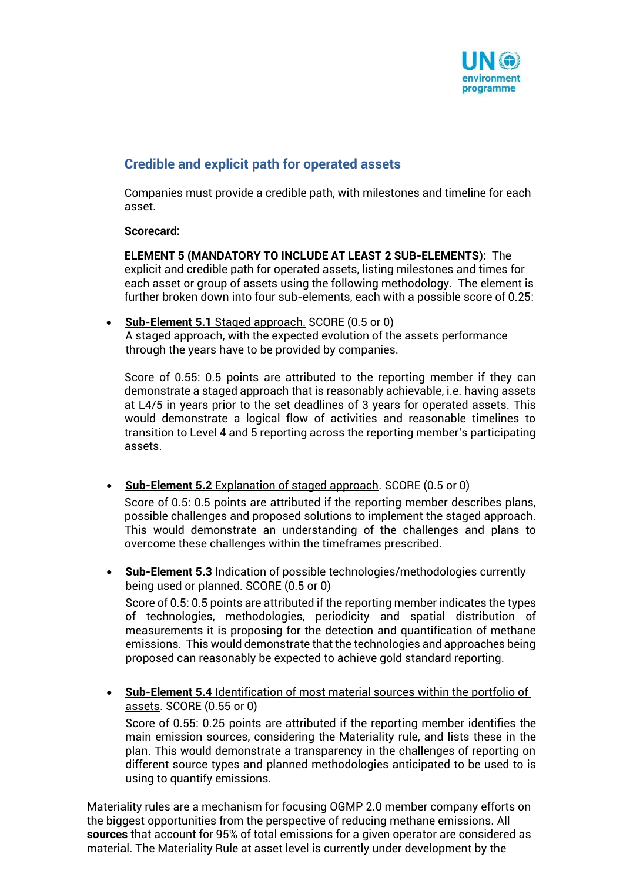

## **Credible and explicit path for operated assets**

Companies must provide a credible path, with milestones and timeline for each asset.

### **Scorecard:**

**ELEMENT 5 (MANDATORY TO INCLUDE AT LEAST 2 SUB-ELEMENTS):** The explicit and credible path for operated assets, listing milestones and times for each asset or group of assets using the following methodology. The element is further broken down into four sub-elements, each with a possible score of 0.25:

• **Sub-Element 5.1** Staged approach. SCORE (0.5 or 0) A staged approach, with the expected evolution of the assets performance through the years have to be provided by companies.

Score of 0.55: 0.5 points are attributed to the reporting member if they can demonstrate a staged approach that is reasonably achievable, i.e. having assets at L4/5 in years prior to the set deadlines of 3 years for operated assets. This would demonstrate a logical flow of activities and reasonable timelines to transition to Level 4 and 5 reporting across the reporting member's participating assets.

• **Sub-Element 5.2** Explanation of staged approach. SCORE (0.5 or 0)

Score of 0.5: 0.5 points are attributed if the reporting member describes plans, possible challenges and proposed solutions to implement the staged approach. This would demonstrate an understanding of the challenges and plans to overcome these challenges within the timeframes prescribed.

- **Sub-Element 5.3** Indication of possible technologies/methodologies currently being used or planned. SCORE (0.5 or 0) Score of 0.5: 0.5 points are attributed if the reporting member indicates the types of technologies, methodologies, periodicity and spatial distribution of measurements it is proposing for the detection and quantification of methane emissions. This would demonstrate that the technologies and approaches being proposed can reasonably be expected to achieve gold standard reporting.
- **Sub-Element 5.4** Identification of most material sources within the portfolio of assets. SCORE (0.55 or 0)

Score of 0.55: 0.25 points are attributed if the reporting member identifies the main emission sources, considering the Materiality rule, and lists these in the plan. This would demonstrate a transparency in the challenges of reporting on different source types and planned methodologies anticipated to be used to is using to quantify emissions.

Materiality rules are a mechanism for focusing OGMP 2.0 member company efforts on the biggest opportunities from the perspective of reducing methane emissions. All **sources** that account for 95% of total emissions for a given operator are considered as material. The Materiality Rule at asset level is currently under development by the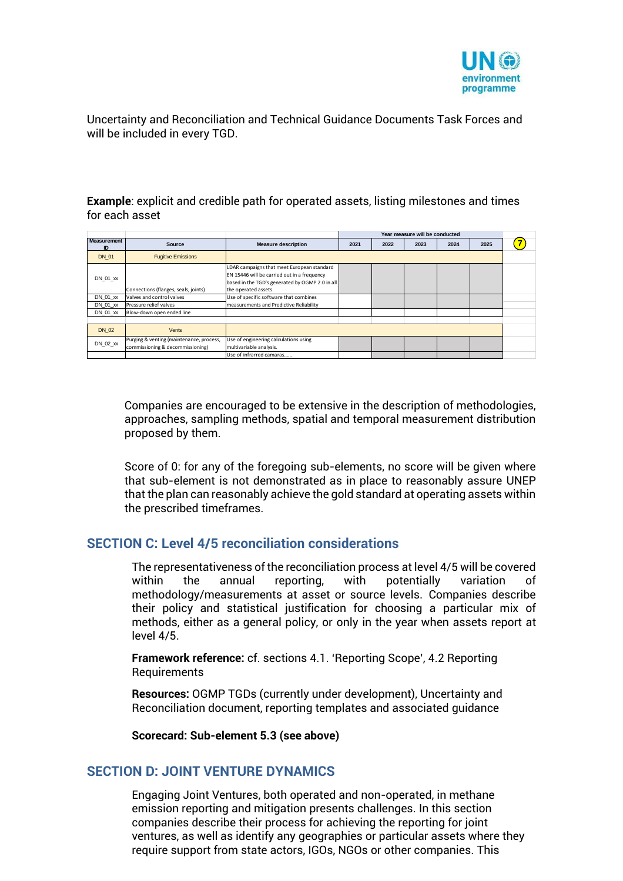

Uncertainty and Reconciliation and Technical Guidance Documents Task Forces and will be included in every TGD.

**Example**: explicit and credible path for operated assets, listing milestones and times for each asset

| <b>Measurement</b><br>ID | <b>Source</b>                                                                | <b>Measure description</b>                                                                                                                                           | 2021 | 2022 | 2023 | 2024 | 2025 |  |
|--------------------------|------------------------------------------------------------------------------|----------------------------------------------------------------------------------------------------------------------------------------------------------------------|------|------|------|------|------|--|
| <b>DN 01</b>             | <b>Fugitive Emissions</b>                                                    |                                                                                                                                                                      |      |      |      |      |      |  |
| DN 01 xx                 | Connections (flanges, seals, joints)                                         | LDAR campaigns that meet European standard<br>EN 15446 will be carried out in a frequency<br>based in the TGD's generated by OGMP 2.0 in all<br>the operated assets. |      |      |      |      |      |  |
| DN 01 xx                 | Valves and control valves                                                    | Use of specific software that combines                                                                                                                               |      |      |      |      |      |  |
| DN 01 xx                 | Pressure relief valves                                                       | measurements and Predictive Reliability                                                                                                                              |      |      |      |      |      |  |
| DN 01 xx                 | Blow-down open ended line                                                    |                                                                                                                                                                      |      |      |      |      |      |  |
|                          |                                                                              |                                                                                                                                                                      |      |      |      |      |      |  |
| <b>DN 02</b>             | <b>Vents</b>                                                                 |                                                                                                                                                                      |      |      |      |      |      |  |
| DN 02 xx                 | Purging & venting (maintenance, process,<br>commissioning & decommissioning) | Use of engineering calculations using<br>multivariable analysis.                                                                                                     |      |      |      |      |      |  |
|                          |                                                                              | Use of infrarred camaras                                                                                                                                             |      |      |      |      |      |  |

Companies are encouraged to be extensive in the description of methodologies, approaches, sampling methods, spatial and temporal measurement distribution proposed by them.

Score of 0: for any of the foregoing sub-elements, no score will be given where that sub-element is not demonstrated as in place to reasonably assure UNEP that the plan can reasonably achieve the gold standard at operating assets within the prescribed timeframes.

## **SECTION C: Level 4/5 reconciliation considerations**

The representativeness of the reconciliation process at level 4/5 will be covered within the annual reporting, with potentially variation of methodology/measurements at asset or source levels. Companies describe their policy and statistical justification for choosing a particular mix of methods, either as a general policy, or only in the year when assets report at level 4/5.

**Framework reference:** cf. sections 4.1. 'Reporting Scope', 4.2 Reporting Requirements

**Resources:** OGMP TGDs (currently under development), Uncertainty and Reconciliation document, reporting templates and associated guidance

**Scorecard: Sub-element 5.3 (see above)** 

## **SECTION D: JOINT VENTURE DYNAMICS**

Engaging Joint Ventures, both operated and non-operated, in methane emission reporting and mitigation presents challenges. In this section companies describe their process for achieving the reporting for joint ventures, as well as identify any geographies or particular assets where they require support from state actors, IGOs, NGOs or other companies. This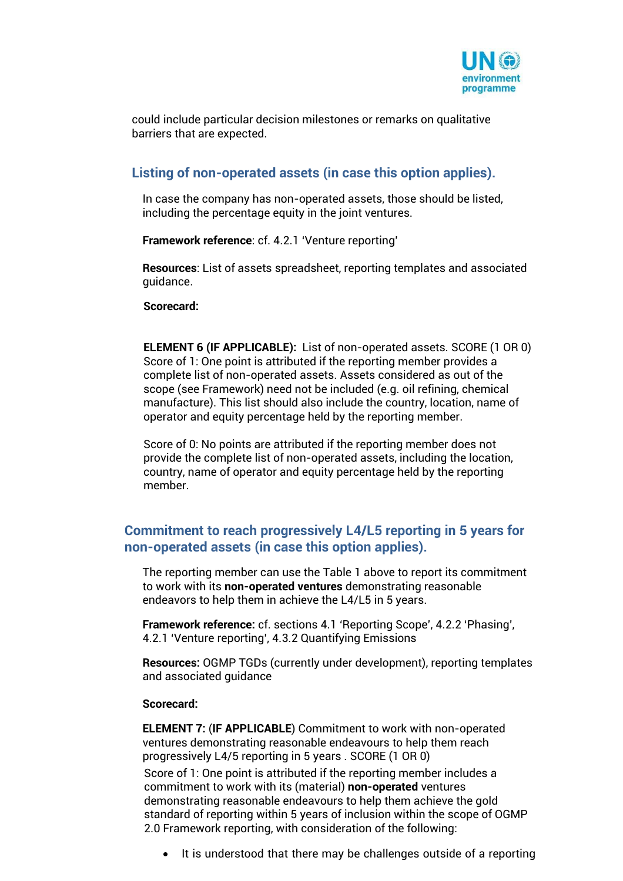

could include particular decision milestones or remarks on qualitative barriers that are expected.

## **Listing of non-operated assets (in case this option applies).**

In case the company has non-operated assets, those should be listed, including the percentage equity in the joint ventures.

**Framework reference**: cf. 4.2.1 'Venture reporting'

**Resources**: List of assets spreadsheet, reporting templates and associated guidance.

#### **Scorecard:**

**ELEMENT 6 (IF APPLICABLE):** List of non-operated assets. SCORE (1 OR 0) Score of 1: One point is attributed if the reporting member provides a complete list of non-operated assets. Assets considered as out of the scope (see Framework) need not be included (e.g. oil refining, chemical manufacture). This list should also include the country, location, name of operator and equity percentage held by the reporting member.

Score of 0: No points are attributed if the reporting member does not provide the complete list of non-operated assets, including the location, country, name of operator and equity percentage held by the reporting member.

## **Commitment to reach progressively L4/L5 reporting in 5 years for non-operated assets (in case this option applies).**

The reporting member can use the Table 1 above to report its commitment to work with its **non-operated ventures** demonstrating reasonable endeavors to help them in achieve the L4/L5 in 5 years.

**Framework reference:** cf. sections 4.1 'Reporting Scope', 4.2.2 'Phasing', 4.2.1 'Venture reporting', 4.3.2 Quantifying Emissions

**Resources:** OGMP TGDs (currently under development), reporting templates and associated guidance

#### **Scorecard:**

**ELEMENT 7:** (**IF APPLICABLE**) Commitment to work with non-operated ventures demonstrating reasonable endeavours to help them reach progressively L4/5 reporting in 5 years . SCORE (1 OR 0)

Score of 1: One point is attributed if the reporting member includes a commitment to work with its (material) **non-operated** ventures demonstrating reasonable endeavours to help them achieve the gold standard of reporting within 5 years of inclusion within the scope of OGMP 2.0 Framework reporting, with consideration of the following:

• It is understood that there may be challenges outside of a reporting